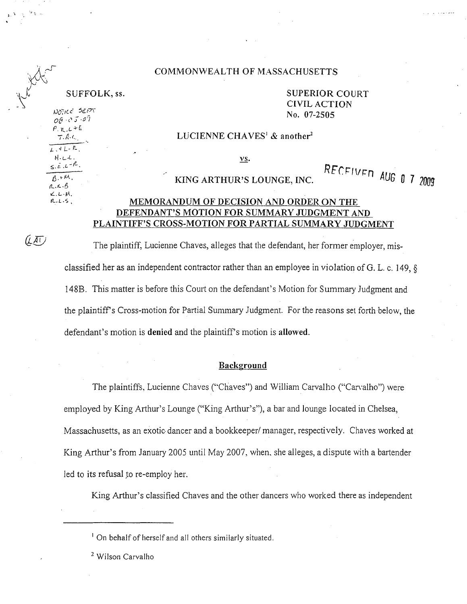#### COMMONWEALTH OF MASSACHUSETTS

 $N$ Oikc 5EPT o<sub>8</sub> *of -2505* No. 07-2505  $P_{H,L}$ + $E$  $7.8c$  $\overline{L}$  ,  $\dashv$   $\sqcup$   $\ulcorner$   $\ulcorner$ H-L·L.

 $\leq$ .  $\epsilon$ .  $L - k$  $A$ . $H$  $a \times b$  $L.L.M.$  $R.L.5$ 

(LAT)

SUFFOLK, ss. SUPERIOR COURT CIVIL ACTION

#### LUCIENNE CHAVES<sup>1</sup> & another<sup>2</sup>

vs.

# KING ARTHUR'S LOUNGE, INC. RECEIVED AUG 0 7 2009

### MEMORANDUM OF DECISION AND ORDER ON THE DEFENDANT'S MOTION FOR SUMMARY JUDGMENT AND PLAINTIFF'S CROSS-MOTION FOR PARTIAL SUMMARY JUDGMENT

The plaintiff, Lucienne Chaves, alleges that the defendant, her former employer, misclassified her as an independent contractor rather than an employee in violation of G. L. c. 149, § 148B. This matter is before this Court on the defendant's Motion for Summary Judgment and the plaintiffs Cross-motion for Partial Summary Judgment. For the reasons set forth below, the defendant's motion is denied and the plaintiff's motion is allowed.

#### Background

The plaintiffs, Lucienne Chaves ("Chaves") and William Carvalho ("Carvalho") were employed by King Arthur's Lounge ("King Arthur's"), a bar and lounge located in Chelsea, Massachusetts, as an exotic dancer and a bookkeeper/ manager, respectively. Chaves worked at King Arthur's from January 2005 until May 2007, when, she alleges, a dispute with a bartender led to its refusal *to* re-employ her.

King Arthur's classified Chaves and the other dancers who worked there as independent

<sup>1</sup> On behalf of herself and all others similarly situated.

<sup>2</sup> Wilson Carvalho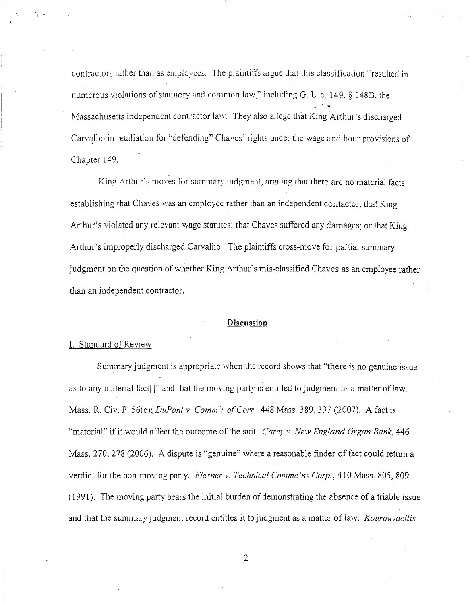contractors rather than as employees. The plaintiffs argue that this classification ''resulted in numerous violations of statutory and common law," including G. L. c. I 49, § I 488, the Massachusetts independent contractor law. They also allege that King Arthur's discharged Carvalho in retaliation for "defending" Chaves' rights under the wage and hour provisions of Chapter 149.

King Arthur's moves for summary judgment, arguing that there are no material facts establishing that Chaves was an employee rather than an independent contactor; that King Arthur's violated any relevant wage statutes; that Chaves suffered any damages; or that King Arthur's improperly discharged Carvalho. The plaintiffs cross-move for partial summary judgment on the question of whether King Arthur's mis-classified Chaves as an employee rather than an independent contractor.

#### **Discussion**

#### I. Standard of Review

Summary judgment is appropriate when the record shows that "there is no genuine issue as to any material fact  $\lceil \cdot \rceil$ " and that the moving party is entitled to judgment as a matter of law. Mass. R. Civ. P. 56(c); *DuPont v. Comm'r of Corr.*, 448 Mass. 389, 397 (2007). A fact is "material" if it would affect the outcome of the suit. *Carey v. New England Organ Bank,* 446 Mass. 270, 278 (2006). A dispute is "genuine" where a reasonable finder of fact could return a verdict for the non-moving party. *Flesner v. Technical Comme'ns Corp.*, 410 Mass. 805, 809 (1991 ). The moving party bears the initial burden of demonstrating the absence of a triable issue and that the summary judgment record entitles it to judgment as a matter of law. *Kourouvacilis*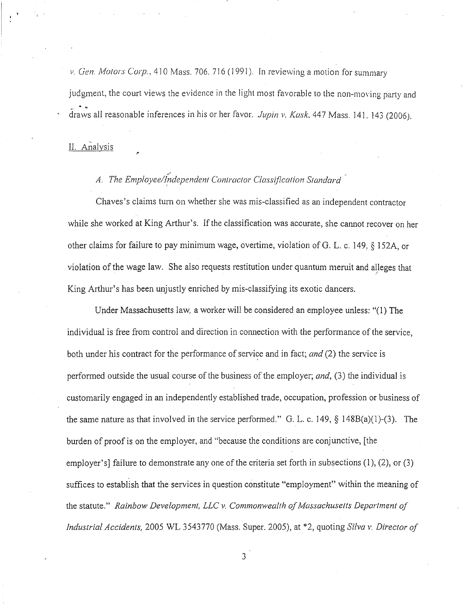*v. Gen. Motors Corp.*, 410 Mass. 706, 716 (1991). In reviewing a motion for summary judgment, the court views the evidence in the light most favorable to the non-moving party and  $e^{-\frac{1}{2}x}$ draws all reasonable inferences in his or her favor. *Jupin v. Kask.* 44 7 Mass. 141. 143 (2006 *).* 

## II. Analysis

## A. The Employee/Independent Contractor Classification Standard

Chaves's claims turn on whether she was mis-classified as an independent contractor while she worked at King Arthur's. If the classification was accurate, she cannot recover on her other claims for failure to pay minimum wage, overtime, violation of G. L. c. 149, § 152A, or violation of the wage law. She also requests restitution under quantum meruit and alleges that *<sup>r</sup>* King Arthur's has been unjustly enriched by mis-classifying its exotic dancers.

Upder Massachusetts law, a worker will be considered an employee unless: "(1) The individual is free from control and direction in connection with the performance of the service, both under his contract for the performance of service and in fact; *and* (2) the service is performed outside the usual course of the business of the employer; *and,* (3) the individual is customarily engaged in an independently established trade, occupation, profession or business of the same nature as that involved in the service performed." G. L. c. 149, § 148B(a)(l)-(3). The burden of proof is on the employer, and "because the conditions are conjunctive, [the employer's] failure to demonstrate any one of the criteria set forth in subsections  $(1)$ ,  $(2)$ , or  $(3)$ suffices to establish that the services in question constitute "employment" within the meaning of the statute." *Rainbow Development, LLC v. Commonwealth of Massachuselts Department of Industrial Accidents,* 2005 WL 3543770 (Mass. Super. 2005), at \*2, quoting *Silva v. Director of*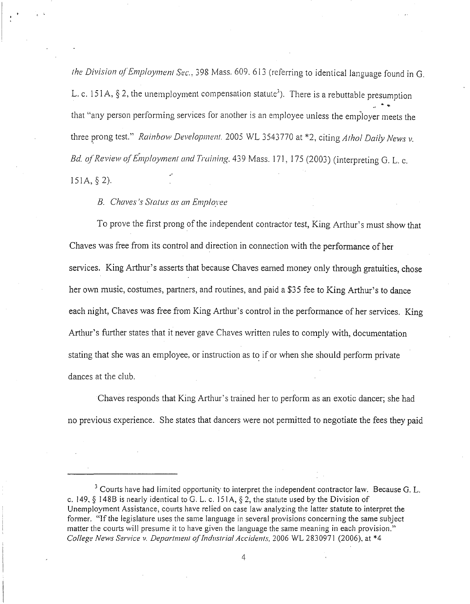*the Division of Employment Sec., 398 Mass. 609, 613 (referring to identical language found in G.* L. c. 151A, § 2, the unemployment compensation statute<sup>3</sup>). There is a rebuttable presumption that "any person performing services for another is an employee unless the employer meets the three prong test." *Rainbow Development.* 2005 WL 3543770 at \*2, citing *Athol Daily Nevvs v. Bd. of Review of Employment and Training.* 439 Mass. 171, 175 (2003) (interpreting G. L. c. 15IA,§2).

#### *B. Chaves's Status as an Employee*

To prove the first prong of the independent contractor test, King Arthur's must show that Chaves was free from its control and direction in connection with the performance of her services. King Arthur's asserts that because Chaves earned money only through gratuities, chose her own music, costumes, partners, and routines, and paid a \$35 fee to King Arthur's to dance each night, Chaves was free from King Arthur's control in the performance of her services. King Arthur's further states that it never gave Chaves written rules to comply with, documentation stating that she was an employee, or instruction as to if or when she should perform private dances at the club.

Chaves responds that King Arthur's trained her to perform as an exotic dancer; she had no previous experience. She states that dancers were not permitted to negotiate the fees they paid

 $3$  Courts have had limited opportunity to interpret the independent contractor law. Because G. L. c. 149, § 148B is nearly identical to G. L. c. 151A, § 2, the statute used by the Division of Unemployment Assistance, courts have relied on case law analyzing the latter statute to interpret the former. "If the legislature uses the same language in several provisions concerning the same subject matter the courts will presume it to have given the language the same meaning in each provision." *College News Service v. Department of Industrial Accidents,* 2006 WL 2830971 (2006), at \*4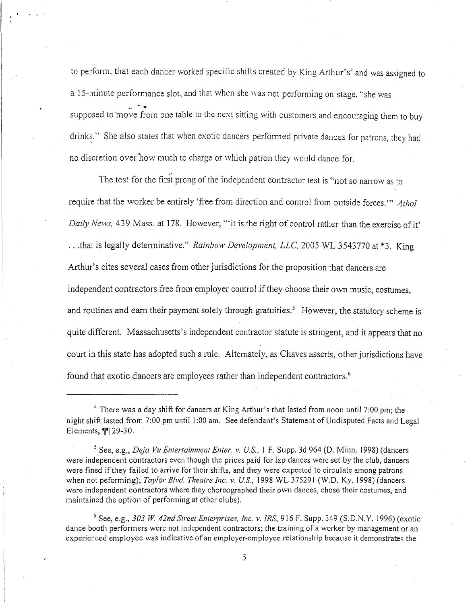to perform, that each dancer worked specific shifts created by King Arthur's<sup>4</sup> and was assigned to a 15-minute performance slot, and that when she was not performing on stage, "she was supposed to move from one table to the next sitting with customers and encouraging them to buy drinks." She also states that when exotic dancers performed private dances for patrons, they had no discretion over how much to charge or which patron they would dance for.

The test for the first prong of the independent contractor test is "not so narrow as to require that the worker be entirely 'free from direction and control from outside forces.'" *Athol Daily News,* 439 Mass. at 178. However, "it is the right of control rather than the exercise of it' ... that is legally determinative." *Rainbow Development, LLC,* 2005 WL 3543770 at \*3. King Arthur's cites several cases from other jurisdictions for the proposition that dancers are independent contractors free from employer control if they choose their own music, costumes, and routines and earn their payment solely through gratuities.<sup>5</sup> However, the statutory scheme is quite different. Massachusetts's independent contractor statute is stringent, and it appears that no court in this state has adopted such a rule. Alternately, as Chaves asserts, other jurisdictions have found that exotic dancers are employees rather than independent contractors.<sup>6</sup>

 $6$  See, e.g., 303 W. 42nd Street Enterprises, Inc. v. IRS, 916 F. Supp. 349 (S.D.N.Y. 1996) (exotic dance booth performers were not independent contractors; the training of a worker by management or an experienced employee was indicative of an employer-employee relationship because it demonstrates the

 $4$  There was a day shift for dancers at King Arthur's that lasted from noon until 7:00 pm; the night shift lasted from 7:00 pm until 1:00 am. See defendant's Statement of Undisputed Facts and Legal Elements, 11 29-30.

<sup>5</sup> See, e.g., *Deja Vu Entertainment Enter. v. US.,* I F. Supp. 3d 964 (D. Minn. 1998) (dancers were independent contractors even though the prices paid for lap dances were set by the club, dancers were fined if they failed to arrive for their shifts, and they were expected to circulate among patrons when not peforming); *Taylor Blvd. Theatre Inc. v. US..* 1998 WL 375291 (W.O. Ky. 1998) (dancers were independent contractors where they choreographed their own dances, chose their costumes, and maintained the option of performing at other clubs).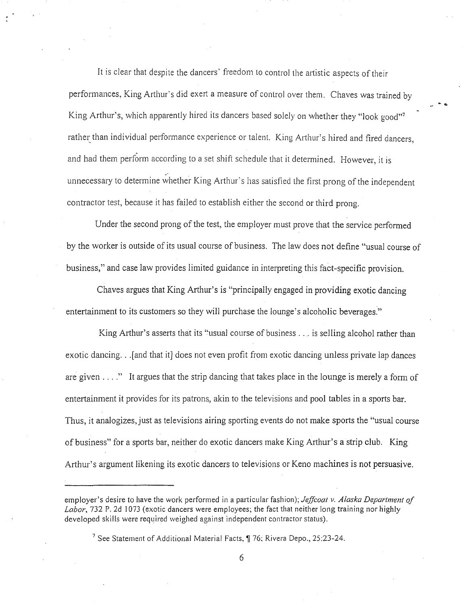It is clear that despite the dancers' freedom to control the artistic aspects of their performances, King Arthur's did exert a measure of control over them. Chaves was trained by King Arthur's, which apparently hired its dancers based solely on whether they "look good"<sup>7</sup> rather than individual performance experience or talent. King Arthur's hired and fired dancers, and had them perform according to a set shift schedule that it determined. However, it is unnecessary to determine whether King Arthur's has satisfied the first prong of the independent contractor test, because it has failed to establish either the second or third prong.

Under the second prong of the test, the employer must prove that the service performed by the worker is outside of its usual course of business. The law does not define "usual course of business," and case law provides limited guidance in interpreting this fact-specific provision.

Chaves argues that King Arthur's is "principally engaged in providing exotic dancing entertainment to its customers so they will purchase the lounge's alcoholic beverages."

King Arthur's asserts that its "usual course of business ... is selling alcohol rather than exotic dancing. . . [and that it] does not even profit from exotic dancing unless private lap dances are given  $\dots$ ." It argues that the strip dancing that takes place in the lounge is merely a form of entertainment it provides for its patrons, akin to the televisions and pool tables in a sports bar. Thus, it analogizes, just as televisions airing sporting events do not make sports the "usual course of business" for a sports bar, neither do exotic dancers make King Arthur's a strip club. King Arthur's argument likening its exotic dancers to televisions or Keno machines is not persuasive.

employer's desire to have the work performed in a particular fashion); *Jeffcoat v. Alaska Department of*  Labor, 732 P. 2d 1073 (exotic dancers were employees; the fact that neither long training nor highly developed skills were required weighed against independent contractor status).

<sup>&</sup>lt;sup>7</sup> See Statement of Additional Material Facts,  $\sqrt{$  76; Rivera Depo., 25:23-24.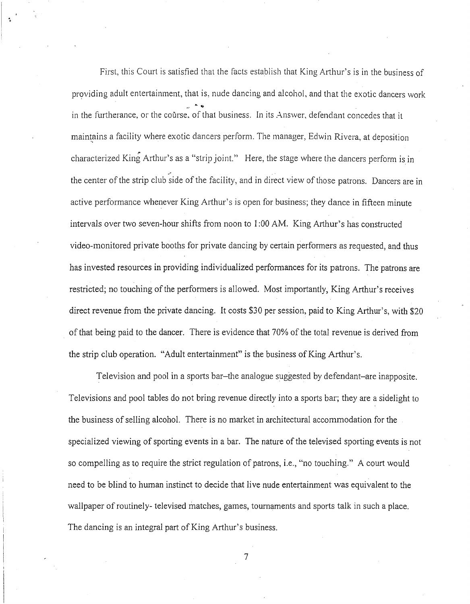First, this Court is satisfied that the facts establish that King Arthur's is in the business of providing adult entertainment, that is, nude dancing and alcohol, and that the exotic dancers work in the furtherance, or the course, of that business. In its Answer, defendant concedes that it maintains a facility where exotic dancers perform. The manager, Edwin Rivera, at deposition characterized King Arthur's as a "strip joint." Here, the stage where the dancers perform is in the center of the strip club side of the facility, and in direct view of those patrons. Dancers are in active performance whenever King Arthur's is open for business; they dance in fifteen minute intervals over two seven-hour shifts from noon to 1:00AM. King Arthur's has constructed video-monitored private booths for private dancing by certain performers as requested, and thus has invested resources in providing individualized performances for its patrons. The patrons are restricted; no touching of the performers is allowed. Most importantly, King Arthur's receives direct revenue from the private dancing. It costs \$30 per session, paid to King Arthur's, with \$20 of that being paid to the dancer. There is evidence that 70% of the total revenue is derived from the strip club operation. "Adult entertainment" is the business of King Arthur's.

. 0

> Television and pool in a sports bar-the analogue suggested by defendant-are inapposite. Televisions and pool tables do not bring revenue directly into a sports bar; they are a sidelight to the business of selling alcohol. There is no market in architectural accommodation for the specialized viewing of sporting events in a bar. The nature of the televised sporting events is not so compelling as to require the strict regulation of patrons, i.e., "no touching." A court would need to be blind to human instinct to decide that live nude entertainment was equivalent to the wallpaper of routinely- televised matches, games, tournaments and sports talk in such a place. The dancing is an integral part of King Arthur's business.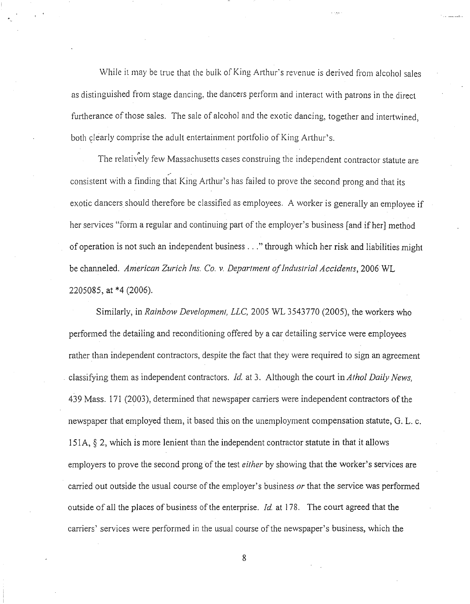While it may be true that the bulk of King Arthur's revenue is derived from alcohol sales as distinguished from stage dancing, the dancers perform and interact with patrons in the direct furtherance of those sales. The sale of alcohol and the exotic dancing, together and intertwined, both clearly comprise the adult entertainment portfolio of King Arthur's.

The relatively few Massachusetts cases construing the independent contractor statute are - consistent with a finding that King Arthur's has failed to prove the second prong and that its exotic dancers should therefore be classified as employees. *A* worker is generally an employee if her services "form a regular and continuing part of the employer's business [and if her] method of operation is not such an independent business ... " through which her risk and liabilities might be channeled. *American Zurich Ins.* Co. *v. Department of Industrial Accidents,* 2006 WL 2205085, at \*4 (2006).

Similarly, in *Rainbow Development, LLC*, 2005 WL 3543770 (2005), the workers who performed the detailing and reconditioning offered by a car detailing service were employees rather than independent contractors, despite the fact that they were required to sign an agreement classifying them as independent contractors. *Id.* at 3. Although the court in *Athol Daily News,*  439 Mass. 171 (2003), determined that newspaper carriers were independent contractors of the newspaper that employed them, it based this on the unemployment compensation statute, G. L. c. 151A,  $\S$  2, which is more lenient than the independent contractor statute in that it allows employers to prove the second prong of the test *either* by showing that the worker's services are carried out outside the usual course of the employer's business *or* that the service was performed outside of all the places of business of the enterprise. *Id.* at 178. The court agreed that the carriers' services were performed in the usual course of the newspaper's business, which the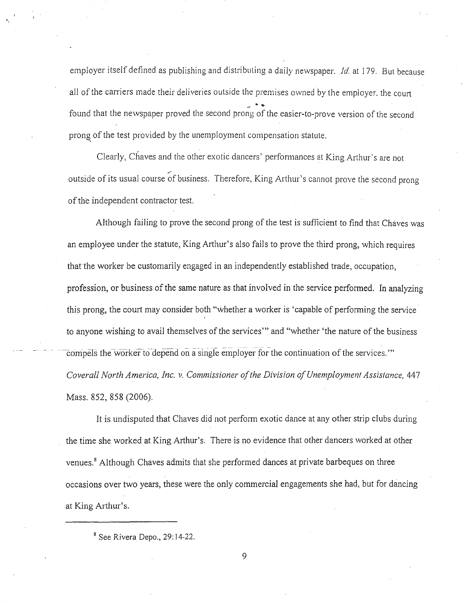employer itself defined as publishing and distributing a daily newspaper. *!d.* at 179. But because all of the carriers made their deliveries outside the premises owned by the employer. the court found that the newspaper proved the second prong of the easier-to-prove version of the second prong. of the test provided by the unemployment compensation statute.

Clearly, Chaves and the other exotic dancers' performances at King Arthur's are not outside of its usual course of business. Therefore, King Arthur's cannot prove the second prong of the independent contractor test.

Although failing to prove the second prong of the test is sufficient to find that Chaves was an employee under the statute, King Arthur's also fails to prove the third prong, which requires that the worker be customarily engaged in an independently established trade, occupation, profession, or business of the same nature as that involved in the service performed. In analyzing this prong, the court may consider both "whether a worker is 'capable of performing the service to anyone wishing to avail themselves of the services"' and "whether 'the nature of the business compels the worker to depend on a single employer for the continuation of the services."' *Coverall North America, Inc. v. Commissioner of the Division of Unemployment Assistance, 447* Mass. 852, 858 (2006).

It is undisputed that Chaves did not perform exotic dance at any other strip clubs during the time she worked at King Arihur's. There is no evidence that other dancers worked at other venues.<sup>8</sup> Although Chaves admits that she performed dances at private barbeques on three occasions over two years, these were the only commercial engagements she had, but for dancing at King Arthur's.

 $8$  See Rivera Depo., 29:14-22.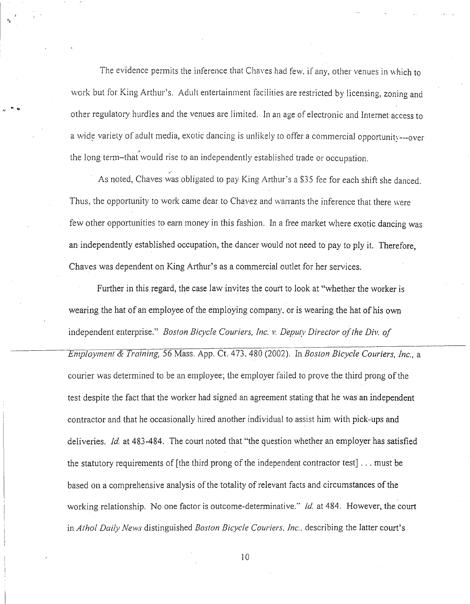The evidence permits the inference that Chaves had few, if any, other venues in which to work but for King Arthur's. Adult entertainment facilities are restricted by licensing, zoning and other regulatory hurdles and the venues are limited. In an age of electronic and Internet access to a wide variety of adult media, exotic dancing is unlikely to offer a commercial opportunity---over the long term-that would rise to an independently established trade or occupation.

As noted, Chaves was obligated to pay King Arthur's a \$35 fee for each shift she danced. Thus, the opportunity to work came dear to Chavez and warrants the inference that there were few other opportunities to earn money in this fashion. In a free market where exotic dancing was an independently established occupation, the dancer would not need to pay to ply it. Therefore, Chaves was dependent on King Arthur's as a commercial outlet for her services.

Further in this regard, the case law invites the court to look at "whether the worker is wearing the hat of an employee of the employing company, or is wearing the hat of his own independent enterprise." *Boston Bicycle Couriers, Inc. v. Deputy Director of the Div. of*  ---------~mployment & *Training,* 56 Mass. App. Ct.473. 480 (2002). In *Boston Bicycle Couriers, Inc.,* a courier was determined to be an employee; the employer failed to prove the third prong of the test despite the fact that the worker had signed an agreement stating that he was an independent contractor and that he occasionally hired another individual to assist him with pick-ups and deliveries. *!d.* at 483-484. The court noted that "the question whether an employer has satisfied the statutory requirements of [the third prong of the independent contractor test] ... must be based on a comprehensive analysis of the totality of relevant facts and circumstances of the working relationship. No one factor is outcome-determinative." *!d.* at 484. However, the court in *Athol Daily News* distinguished *Boston Bicycle Couriers. Inc ..* describing the latter court's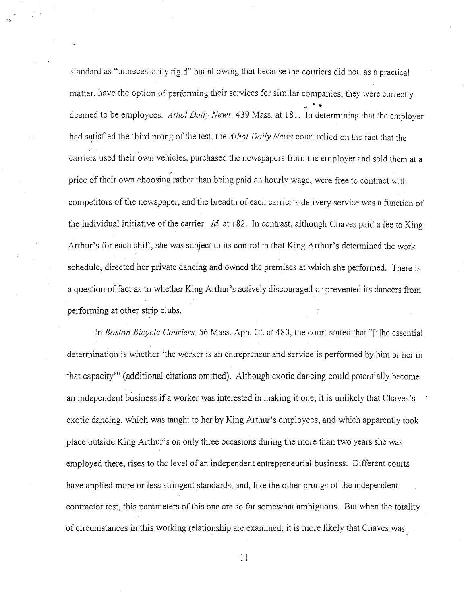standard as "unnecessarily rigid" but allowing that because the couriers did not, as a practical matter, have the option of performing their services for similar companies, they were correctly deemed to be employees. *Athol Daily News*, 439 Mass. at 181. In determining that the employer had satisfied the third prong of the test, the *Athol Daily News* court relied on the fact that the carriers used their own vehicles, purchased the newspapers from the employer and sold them at a price of their own choosing rather than being paid an hourly wage, were free to contract with competitors of the newspaper, and the breadth of each carrier's delivery service was a function of the individual initiative of the carrier. *!d.* at 182. In contrast, although Chaves paid a fee to King Arthur's for each shift, she was subject to its control in that King Arthur's determined the work schedule, directed her private dancing and owned the premises at which she performed. There is a question of fact as to whether King Arthur's actively discouraged or prevented its dancers from performing at other strip clubs.

In *Boston Bicycle Couriers,* 56 Mass. App. Ct. at 480, the court stated that "[t]he essential determination is whether 'the worker is an entrepreneur and service is performed by him or her in that capacity"' (additional citations omitted). Although exotic dancing could potentially become an independent business if a worker was interested in making it one, it is unlikely that Chaves's exotic dancing, which was taught to her by King Arthur's employees, and which apparently took place outside King Arthur's on only three occasions during the more than two years she was employed there, rises to the level of an independent entrepreneurial business. Different courts have applied more or less stringent standards, and, like the other prongs of the independent contractor test, this parameters of this one are so far somewhat ambiguous. But when the totality of circumstances in this working relationship are examined, it is more likely that Chaves was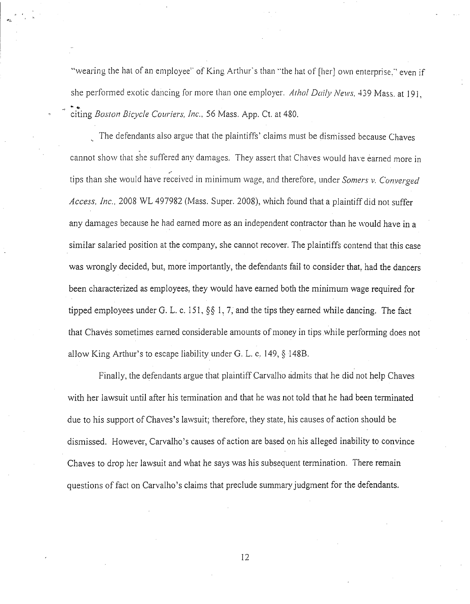"wearing the hat of an employee" of King Arthur's than "the hat of [her] own enterprise." even if she performed exotic dancing for more than one employer. *Athol Daily News.* 439 Mass. at 191,  $\ddot{\bullet}$ citing *Boston Bicycle Couriers, Inc.,* 56 Mass. App. Ct. at 480 .

The defendants also argue that the plaintiffs' claims must be dismissed because Chaves cannot show that she suffered any damages. They assert that Chaves would have earned more in tips than she would have received in minimum wage, and therefore, under *Somers v. Converged Access, Inc.,* 2008 WL 497982 (Mass. Super. 2008), which found that a plaintiff did not suffer any damages because he had earned more as an independent contractor than he would have in a similar salaried position at the company, she cannot recover. The plaintiffs contend that this case was wrongly decided, but, more importantly, the defendants fail to consider that, had the dancers been characterized as employees, they would have earned both the minimum wage required for tipped employees under G. L. c. 151, *§§* 1, 7, and the tips they earned while dancing. The fact that Chaves sometimes earned considerable amounts of money in tips while performing does not allow King Arthur's to escape liability under G. L. c. 149, § 148B.

Finally, the defendants argue that plaintiff Carvalho admits that he did not help Chaves with her lawsuit until after his termination and that he was not told that he had been terminated due to his support of Chaves's lawsuit; therefore, they state, his causes of action should be dismissed. However, Carvalho's causes of action are based on his alleged inability to convince Chaves to drop her lawsuit and what he says was his subsequent termination. There remain questions of fact on Carvalho's claims that preclude summary judgment for the defendants.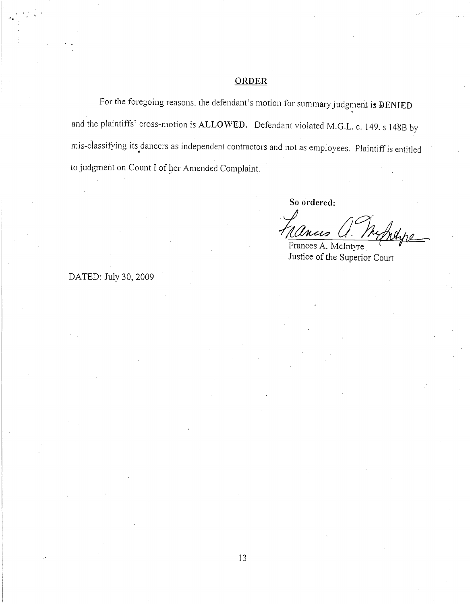## **ORDER**

For the foregoing reasons. the defendant's motion for summary judgment is **DENIED** and the plaintiffs' cross-motion is **ALLO\VED.** Defendant violated M.G.L. c. 149. s 1488 by mis-classifying its dancers as independent contractors and not as employees. Plaintiff is entitled to judgment on Count I of her Amended Complaint.

**So ordered:** 

Lances U.  $U.\top$ Mape

Justice of the Superior Court

DATED: July 30,2009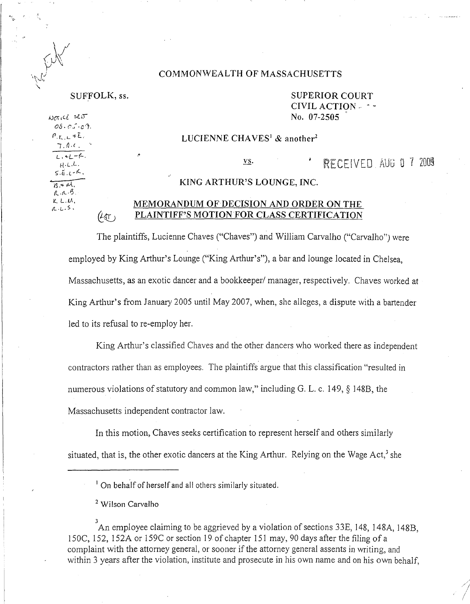#### COMMONWEALTH OF MASSACHUSETTS

*as. C'.:-c·?.*   $P_{\text{r}}$   $L$   $*$  E.  $7.0.0.$  $L, +L-F.$ H-L.L.

 $S.E.L-K$ .  $\overline{3.4M}$ .  $R.R.B.$  $K$  L.M.  $R.L.5.$ 

 $L_1 + L_1 + L_2$ <br> $H_1 + L_2$ <br> $S.E. L_1 + K_2$ <br> $S. + M_2$ 

SUFFOLK, ss. SUPERIOR COURT CIVIL ACTION-  $\cdots$  $\frac{1}{2}$  is the set of the set of the set of the set of the set of the set of the set of the set of the set of the set of the set of the set of the set of the set of the set of the set of the set of the set of the set of

#### LUCIENNE CHAVES<sup>1</sup> & another<sup>2</sup>

**RECEIVED AUG 0 7 2009** VS.

#### KING ARTHUR'S LOUNGE, INC.

#### MEMORANDUM OF DECISION AND ORDER ON THE PLAINTIFF'S MOTION FOR CLASS CERTIFICATION  $(\angle \text{AT})$

The plaintiffs, Lucienne Chaves ("Chaves") and William Carvalho ("Carvalho") were employed by King Arthur's Lounge ("King Arthur's"), a bar and lounge located in Chelsea, Massachusetts, as an exotic dancer and a bookkeeper/ manager, respectively. Chaves worked at King Arthur's from January 2005 until May 2007, when, she alleges, a dispute with a bartender led to its refusal to re-employ her.

King Arthur's classified Chaves and the other dancers who worked there as independent contractors rather than as employees. The plaintiffs argue that this classification "resulted in numerous violations of statutory and common law," including G. L. c. 149, § 1488, the Massachusetts independent contractor law.

In this motion, Chaves seeks certification to represent herself and others similarly situated, that is, the other exotic dancers at the King Arthur. Relying on the Wage Act,<sup>3</sup> she

<sup>3</sup> An employee claiming to be aggrieved by a violation of sections 33E, 148, 148A, 148B, 150C, 152, 152A or 159C or section 19 of chapter 151 may, 90 days after the filing of a complaint with the attorney general, or sooner if the attorney general assents in writing, and within 3 years after the violation, institute and prosecute in his own name and on his own behalf,

 $<sup>1</sup>$  On behalf of herself and all others similarly situated.</sup>

<sup>&</sup>lt;sup>2</sup> Wilson Carvalho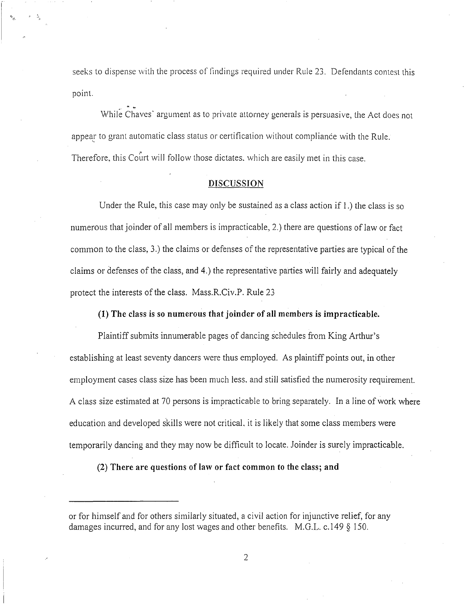seeks to dispense with the process of findings required under Rule 23. Defendants contest this point.

While Chaves' argument as to private attorney generals is persuasive, the Act does not appear to grant automatic class status or certification without compliance with the Rule. Therefore, this Court will follow those dictates, which are easily met in this case.

<sup>~</sup>...

#### **DISCUSSION**

Under the Rule, this case may only be sustained as a class action if 1.) the class is so numerous that joinder of all members is impracticable, 2.) there are questions of law or fact common to the class, 3.) the claims or defenses of the representative parties are typical of the claims or defenses of the class, and 4.) the representative parties will fairly and adequately protect the interests of the class. Mass.R.Civ.P. Rule 23

#### **(1) The class is so numerous that joinder of all members is impracticable.**

Plaintiff submits innumerable pages of dancing schedules from King Atihur's establishing at least seventy dancers were thus employed. As plaintiff points out, in other employment cases class size has been much less, and still satisfied the numerosity requirement. A class size estimated at 70 persons is impracticable to bring separately. In a line of work where education and developed skills were not critical, it is likely that some class members were temporarily dancing and they may now be difficult to locate. Joinder is surely impracticable.

**(2) There are questions of law or fact common to the class; and** 

or for himself and for others similarly situated, a civil action for injunctive relief, for any damages incurred, and for any lost wages and other benefits. M.G.L. c.149 *§* 150.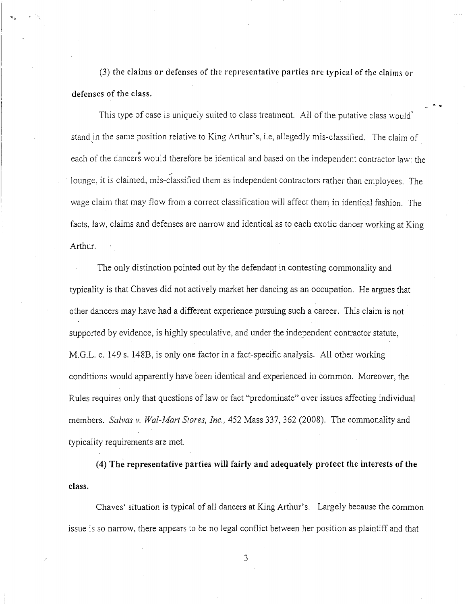(3) the claims or defenses of the representative parties are typical of the claims or defenses of the class.

This type of case is uniquely suited to class treatment. All of the putative class would<sup>7</sup> stand in the same position relative to King Arthur's, i.e, allegedly mis-classified. The claim of each of the dancers would therefore be identical and based on the independent contractor law: the lounge, it is claimed, mis-classified them as independent contractors rather than employees. The wage claim that may flow from a correct classification will affect them in identical fashion. The facts, law, claims and defenses are narrow and identical as to each exotic dancer working at King Arthur.

The only distinction pointed out by the defendant in contesting commonality and typicality is that Chaves did not actively market her dancing as an occupation. He argues that other dancers may have had a different experience pursuing such a career. This claim is not supported by evidence, is highly speculative, and under the independent contractor statute, M.G.L. c. 149 s. 148B, is only one factor in a fact-specific analysis. All other working conditions would apparently have been identical and experienced in common. Moreover, the Rules requires only that questions of law or fact "predominate" over issues affecting individual members. *Salvas v. Wal-Mart Stores, Inc.,* 452 Mass 337, 362 (2008). The commonality and typicality requirements are met.

( 4) The representative parties will fairly and adequately protect the interests of the class.

Chaves' situation is typical of all dancers at King Arthur's. Largely because the common issue is so narrow, there appears to be no legal conflict between her position as plaintiff and that